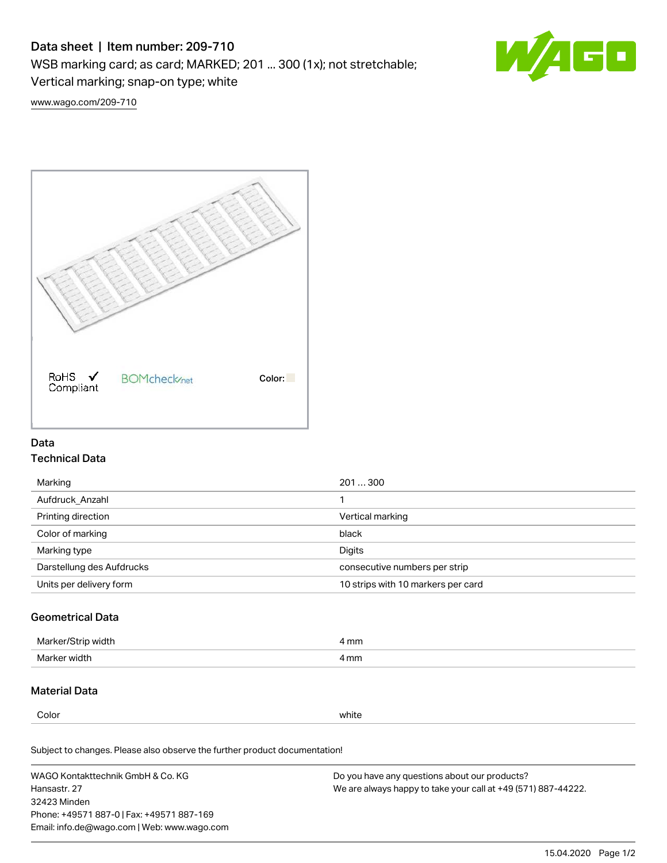# Data sheet | Item number: 209-710

WSB marking card; as card; MARKED; 201 ... 300 (1x); not stretchable;

Vertical marking; snap-on type; white



[www.wago.com/209-710](http://www.wago.com/209-710)



### Data Technical Data

| Marking                   | 201300                             |
|---------------------------|------------------------------------|
| Aufdruck Anzahl           |                                    |
| Printing direction        | Vertical marking                   |
| Color of marking          | black                              |
| Marking type              | Digits                             |
| Darstellung des Aufdrucks | consecutive numbers per strip      |
| Units per delivery form   | 10 strips with 10 markers per card |

## Geometrical Data

| Ma<br>width    | 4 mm |
|----------------|------|
| Marke<br>widtł | 4 mm |

### Material Data

Color white

Subject to changes. Please also observe the further product documentation!

WAGO Kontakttechnik GmbH & Co. KG Hansastr. 27 32423 Minden Phone: +49571 887-0 | Fax: +49571 887-169 Email: info.de@wago.com | Web: www.wago.com Do you have any questions about our products? We are always happy to take your call at +49 (571) 887-44222.